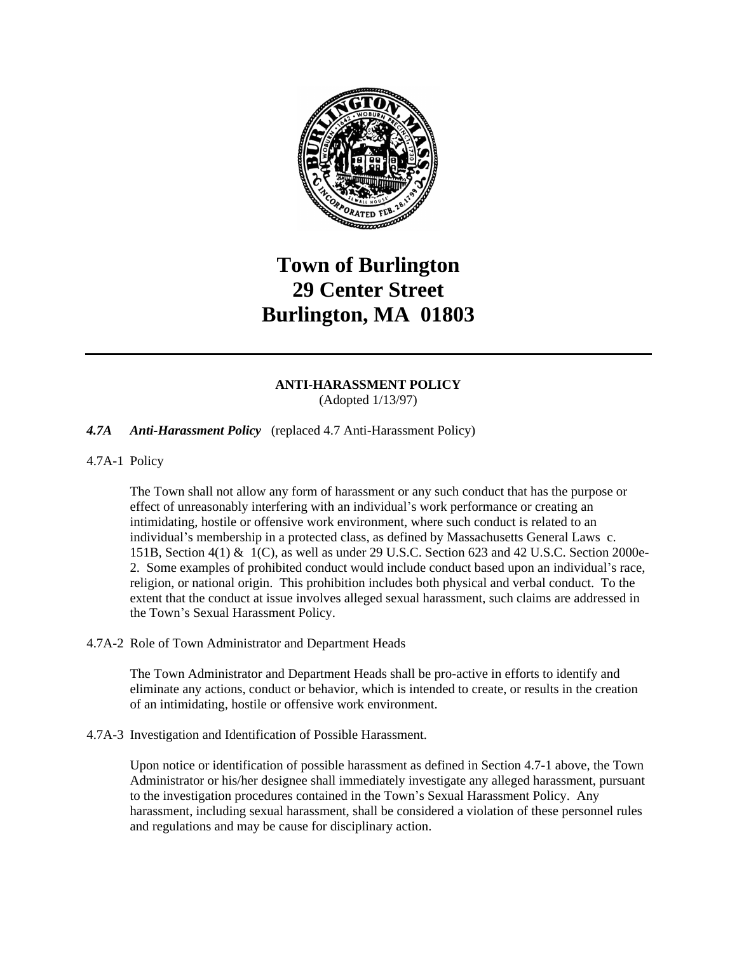

# **Town of Burlington 29 Center Street Burlington, MA 01803**

## **ANTI-HARASSMENT POLICY** (Adopted 1/13/97)

# *4.7A Anti-Harassment Policy* (replaced 4.7 Anti-Harassment Policy)

4.7A-1 Policy

The Town shall not allow any form of harassment or any such conduct that has the purpose or effect of unreasonably interfering with an individual's work performance or creating an intimidating, hostile or offensive work environment, where such conduct is related to an individual's membership in a protected class, as defined by Massachusetts General Laws c. 151B, Section 4(1) & 1(C), as well as under 29 U.S.C. Section 623 and 42 U.S.C. Section 2000e-2. Some examples of prohibited conduct would include conduct based upon an individual's race, religion, or national origin. This prohibition includes both physical and verbal conduct. To the extent that the conduct at issue involves alleged sexual harassment, such claims are addressed in the Town's Sexual Harassment Policy.

#### 4.7A-2 Role of Town Administrator and Department Heads

The Town Administrator and Department Heads shall be pro-active in efforts to identify and eliminate any actions, conduct or behavior, which is intended to create, or results in the creation of an intimidating, hostile or offensive work environment.

4.7A-3 Investigation and Identification of Possible Harassment.

Upon notice or identification of possible harassment as defined in Section 4.7-1 above, the Town Administrator or his/her designee shall immediately investigate any alleged harassment, pursuant to the investigation procedures contained in the Town's Sexual Harassment Policy. Any harassment, including sexual harassment, shall be considered a violation of these personnel rules and regulations and may be cause for disciplinary action.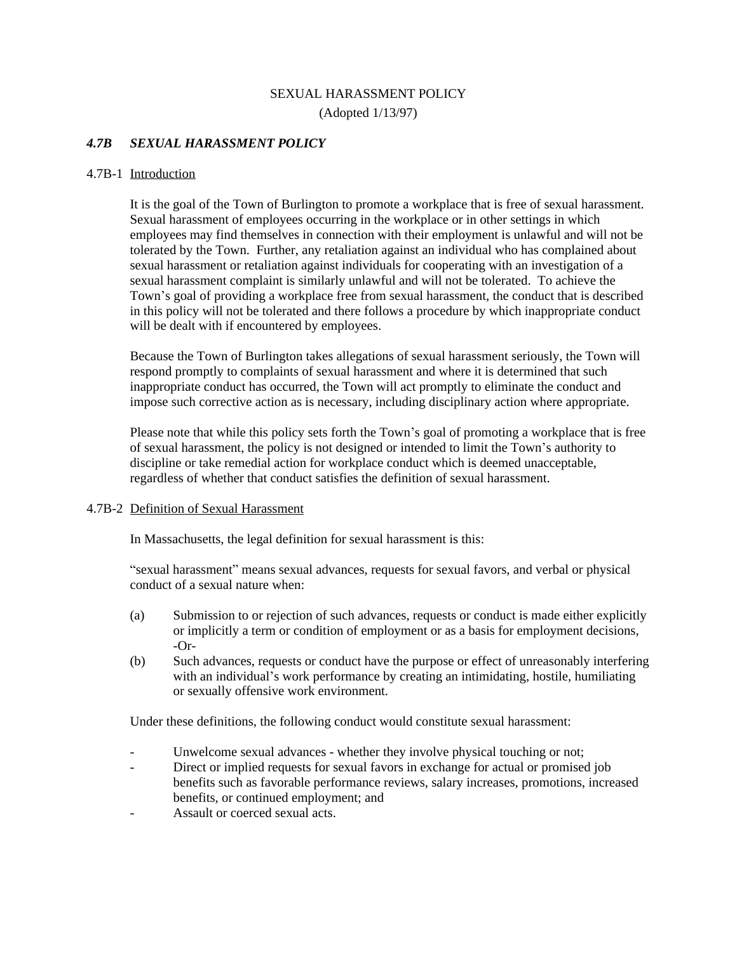# SEXUAL HARASSMENT POLICY (Adopted 1/13/97)

### *4.7B SEXUAL HARASSMENT POLICY*

#### 4.7B-1 Introduction

It is the goal of the Town of Burlington to promote a workplace that is free of sexual harassment. Sexual harassment of employees occurring in the workplace or in other settings in which employees may find themselves in connection with their employment is unlawful and will not be tolerated by the Town. Further, any retaliation against an individual who has complained about sexual harassment or retaliation against individuals for cooperating with an investigation of a sexual harassment complaint is similarly unlawful and will not be tolerated. To achieve the Town's goal of providing a workplace free from sexual harassment, the conduct that is described in this policy will not be tolerated and there follows a procedure by which inappropriate conduct will be dealt with if encountered by employees.

Because the Town of Burlington takes allegations of sexual harassment seriously, the Town will respond promptly to complaints of sexual harassment and where it is determined that such inappropriate conduct has occurred, the Town will act promptly to eliminate the conduct and impose such corrective action as is necessary, including disciplinary action where appropriate.

Please note that while this policy sets forth the Town's goal of promoting a workplace that is free of sexual harassment, the policy is not designed or intended to limit the Town's authority to discipline or take remedial action for workplace conduct which is deemed unacceptable, regardless of whether that conduct satisfies the definition of sexual harassment.

#### 4.7B-2 Definition of Sexual Harassment

In Massachusetts, the legal definition for sexual harassment is this:

"sexual harassment" means sexual advances, requests for sexual favors, and verbal or physical conduct of a sexual nature when:

- (a) Submission to or rejection of such advances, requests or conduct is made either explicitly or implicitly a term or condition of employment or as a basis for employment decisions, -Or-
- (b) Such advances, requests or conduct have the purpose or effect of unreasonably interfering with an individual's work performance by creating an intimidating, hostile, humiliating or sexually offensive work environment.

Under these definitions, the following conduct would constitute sexual harassment:

- Unwelcome sexual advances whether they involve physical touching or not;
- Direct or implied requests for sexual favors in exchange for actual or promised job benefits such as favorable performance reviews, salary increases, promotions, increased benefits, or continued employment; and
- Assault or coerced sexual acts.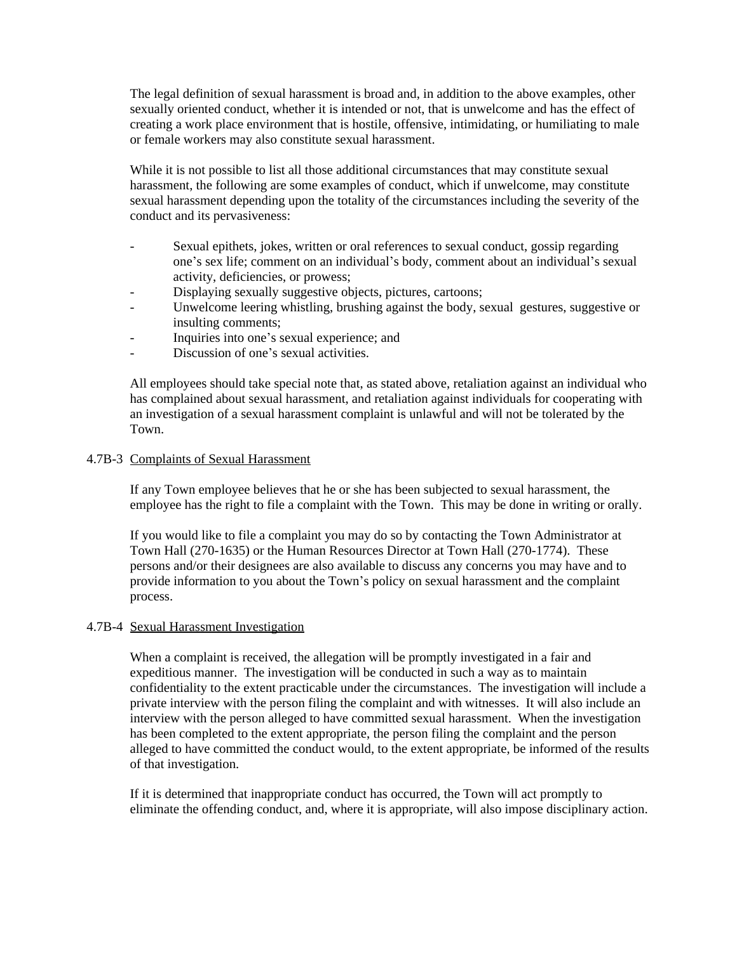The legal definition of sexual harassment is broad and, in addition to the above examples, other sexually oriented conduct, whether it is intended or not, that is unwelcome and has the effect of creating a work place environment that is hostile, offensive, intimidating, or humiliating to male or female workers may also constitute sexual harassment.

While it is not possible to list all those additional circumstances that may constitute sexual harassment, the following are some examples of conduct, which if unwelcome, may constitute sexual harassment depending upon the totality of the circumstances including the severity of the conduct and its pervasiveness:

- Sexual epithets, jokes, written or oral references to sexual conduct, gossip regarding one's sex life; comment on an individual's body, comment about an individual's sexual activity, deficiencies, or prowess;
- Displaying sexually suggestive objects, pictures, cartoons;
- Unwelcome leering whistling, brushing against the body, sexual gestures, suggestive or insulting comments;
- Inquiries into one's sexual experience; and
- Discussion of one's sexual activities.

All employees should take special note that, as stated above, retaliation against an individual who has complained about sexual harassment, and retaliation against individuals for cooperating with an investigation of a sexual harassment complaint is unlawful and will not be tolerated by the Town.

## 4.7B-3 Complaints of Sexual Harassment

If any Town employee believes that he or she has been subjected to sexual harassment, the employee has the right to file a complaint with the Town. This may be done in writing or orally.

If you would like to file a complaint you may do so by contacting the Town Administrator at Town Hall (270-1635) or the Human Resources Director at Town Hall (270-1774). These persons and/or their designees are also available to discuss any concerns you may have and to provide information to you about the Town's policy on sexual harassment and the complaint process.

#### 4.7B-4 Sexual Harassment Investigation

When a complaint is received, the allegation will be promptly investigated in a fair and expeditious manner. The investigation will be conducted in such a way as to maintain confidentiality to the extent practicable under the circumstances. The investigation will include a private interview with the person filing the complaint and with witnesses. It will also include an interview with the person alleged to have committed sexual harassment. When the investigation has been completed to the extent appropriate, the person filing the complaint and the person alleged to have committed the conduct would, to the extent appropriate, be informed of the results of that investigation.

If it is determined that inappropriate conduct has occurred, the Town will act promptly to eliminate the offending conduct, and, where it is appropriate, will also impose disciplinary action.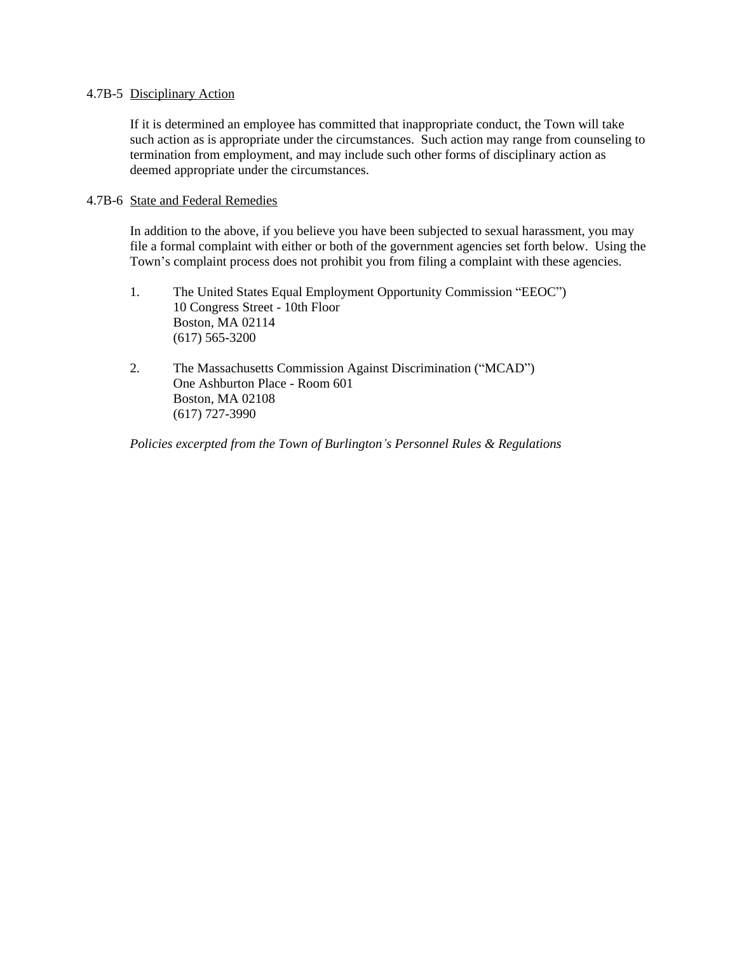#### 4.7B-5 Disciplinary Action

If it is determined an employee has committed that inappropriate conduct, the Town will take such action as is appropriate under the circumstances. Such action may range from counseling to termination from employment, and may include such other forms of disciplinary action as deemed appropriate under the circumstances.

#### 4.7B-6 State and Federal Remedies

In addition to the above, if you believe you have been subjected to sexual harassment, you may file a formal complaint with either or both of the government agencies set forth below. Using the Town's complaint process does not prohibit you from filing a complaint with these agencies.

- 1. The United States Equal Employment Opportunity Commission "EEOC") 10 Congress Street - 10th Floor Boston, MA 02114 (617) 565-3200
- 2. The Massachusetts Commission Against Discrimination ("MCAD") One Ashburton Place - Room 601 Boston, MA 02108 (617) 727-3990

*Policies excerpted from the Town of Burlington's Personnel Rules & Regulations*